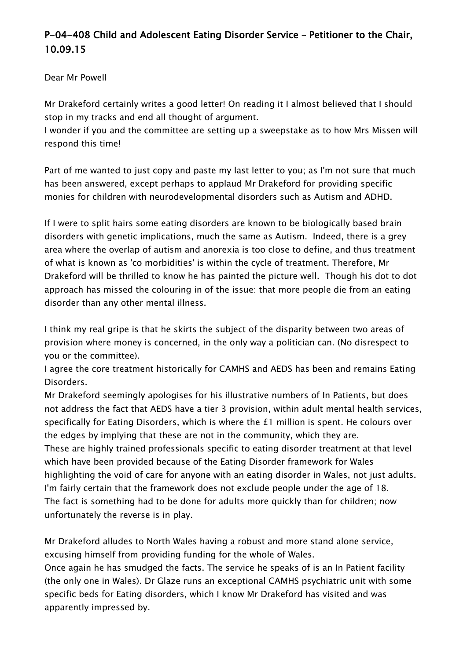## **P-04-408 Child and Adolescent Eating Disorder Service – Petitioner to the Chair, 10.09.15**

Dear Mr Powell

Mr Drakeford certainly writes a good letter! On reading it I almost believed that I should stop in my tracks and end all thought of argument.

I wonder if you and the committee are setting up a sweepstake as to how Mrs Missen will respond this time!

Part of me wanted to just copy and paste my last letter to you; as I'm not sure that much has been answered, except perhaps to applaud Mr Drakeford for providing specific monies for children with neurodevelopmental disorders such as Autism and ADHD.

If I were to split hairs some eating disorders are known to be biologically based brain disorders with genetic implications, much the same as Autism. Indeed, there is a grey area where the overlap of autism and anorexia is too close to define, and thus treatment of what is known as 'co morbidities' is within the cycle of treatment. Therefore, Mr Drakeford will be thrilled to know he has painted the picture well. Though his dot to dot approach has missed the colouring in of the issue: that more people die from an eating disorder than any other mental illness.

I think my real gripe is that he skirts the subject of the disparity between two areas of provision where money is concerned, in the only way a politician can. (No disrespect to you or the committee).

I agree the core treatment historically for CAMHS and AEDS has been and remains Eating Disorders.

Mr Drakeford seemingly apologises for his illustrative numbers of In Patients, but does not address the fact that AEDS have a tier 3 provision, within adult mental health services, specifically for Eating Disorders, which is where the £1 million is spent. He colours over the edges by implying that these are not in the community, which they are.

These are highly trained professionals specific to eating disorder treatment at that level which have been provided because of the Eating Disorder framework for Wales highlighting the void of care for anyone with an eating disorder in Wales, not just adults. I'm fairly certain that the framework does not exclude people under the age of 18. The fact is something had to be done for adults more quickly than for children; now unfortunately the reverse is in play.

Mr Drakeford alludes to North Wales having a robust and more stand alone service, excusing himself from providing funding for the whole of Wales.

Once again he has smudged the facts. The service he speaks of is an In Patient facility (the only one in Wales). Dr Glaze runs an exceptional CAMHS psychiatric unit with some specific beds for Eating disorders, which I know Mr Drakeford has visited and was apparently impressed by.